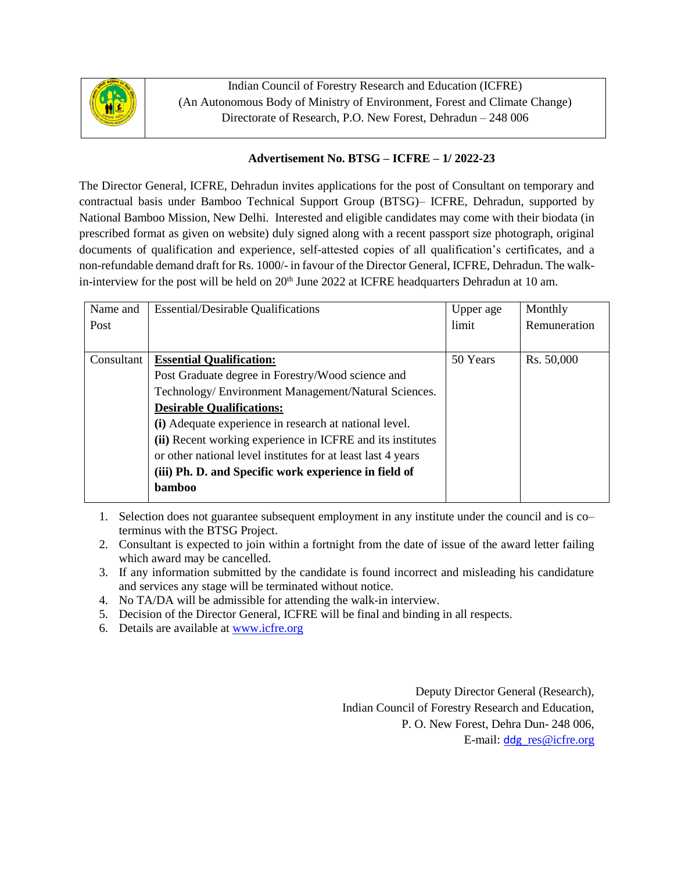

Indian Council of Forestry Research and Education (ICFRE) (An Autonomous Body of Ministry of Environment, Forest and Climate Change) Directorate of Research, P.O. New Forest, Dehradun – 248 006

#### **Advertisement No. BTSG – ICFRE – 1/ 2022-23**

The Director General, ICFRE, Dehradun invites applications for the post of Consultant on temporary and contractual basis under Bamboo Technical Support Group (BTSG)– ICFRE, Dehradun, supported by National Bamboo Mission, New Delhi. Interested and eligible candidates may come with their biodata (in prescribed format as given on website) duly signed along with a recent passport size photograph, original documents of qualification and experience, self-attested copies of all qualification's certificates, and a non-refundable demand draft for Rs. 1000/- in favour of the Director General, ICFRE, Dehradun. The walkin-interview for the post will be held on  $20<sup>th</sup>$  June 2022 at ICFRE headquarters Dehradun at 10 am.

| Name and   | <b>Essential/Desirable Qualifications</b>                    | Upper age | Monthly      |
|------------|--------------------------------------------------------------|-----------|--------------|
| Post       |                                                              | limit     | Remuneration |
|            |                                                              |           |              |
| Consultant | <b>Essential Qualification:</b>                              | 50 Years  | Rs. 50,000   |
|            | Post Graduate degree in Forestry/Wood science and            |           |              |
|            | Technology/Environment Management/Natural Sciences.          |           |              |
|            | <b>Desirable Qualifications:</b>                             |           |              |
|            | (i) Adequate experience in research at national level.       |           |              |
|            | (ii) Recent working experience in ICFRE and its institutes   |           |              |
|            | or other national level institutes for at least last 4 years |           |              |
|            | (iii) Ph. D. and Specific work experience in field of        |           |              |
|            | <b>bamboo</b>                                                |           |              |
|            |                                                              |           |              |

1. Selection does not guarantee subsequent employment in any institute under the council and is co– terminus with the BTSG Project.

- 2. Consultant is expected to join within a fortnight from the date of issue of the award letter failing which award may be cancelled.
- 3. If any information submitted by the candidate is found incorrect and misleading his candidature and services any stage will be terminated without notice.
- 4. No TA/DA will be admissible for attending the walk-in interview.
- 5. Decision of the Director General, ICFRE will be final and binding in all respects.
- 6. Details are available at [www.icfre.org](http://www.icfre.org/)

Deputy Director General (Research), Indian Council of Forestry Research and Education, P. O. New Forest, Dehra Dun- 248 006, E-mail: ddg\_[res@icfre.org](mailto:res@icfre.org)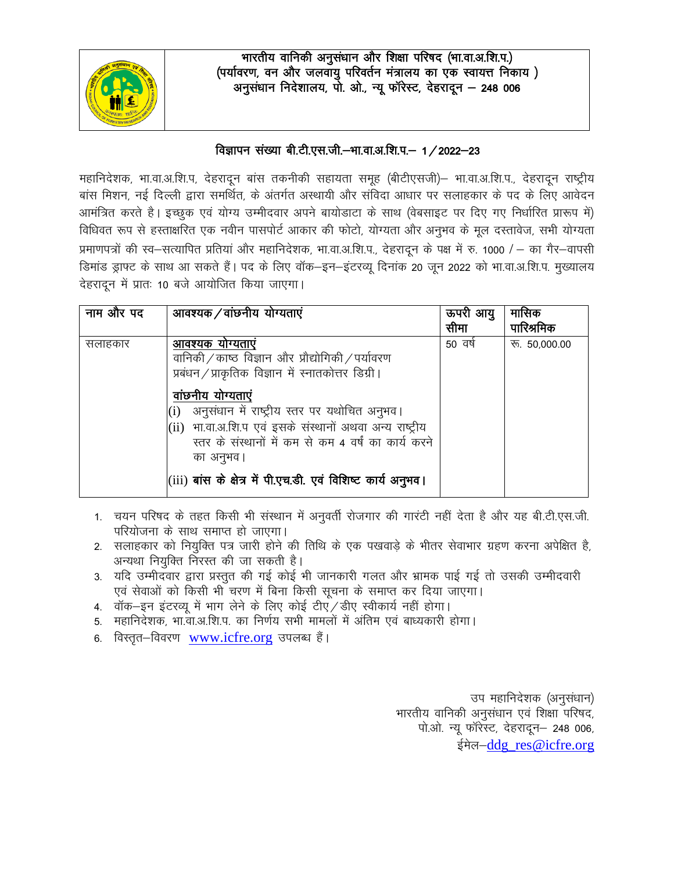

भारतीय वानिकी अनुसंधान और शिक्षा परिषद (भा.वा.अ.शि.प.) (पर्यावरण, वन और जलवायु परिवर्तन मंत्रालय का एक स्वायत्त निकाय) अनुसंधान निदेशालय, पो. ओ., न्यू फॉरेस्ट, देहरादून – 248 006

#### विज्ञापन संख्या बी.टी.एस.जी.–भा.वा.अ.शि.प.– 1 / 2022–23

महानिदेशक, भा.वा.अ.शि.प, देहरादून बांस तकनीकी सहायता समूह (बीटीएसजी)– भा.वा.अ.शि.प., देहरादून राष्ट्रीय बांस मिशन, नई दिल्ली द्वारा समर्थित, के अंतर्गत अस्थायी और संविदा आधार पर सलाहकार के पद के लिए आवेदन आमंत्रित करते है। इच्छुक एवं योग्य उम्मीदवार अपने बायोडाटा के साथ (वेबसाइट पर दिए गए निर्धारित प्रारूप में) विधिवत रूप से हस्ताक्षरित एक नवीन पासपोर्ट आकार की फोटो, योग्यता और अनुभव के मूल दस्तावेज, सभी योग्यता प्रमाणपत्रों की स्व-सत्यापित प्रतियां और महानिदेशक, भा.वा.अ.शि.प., देहरादून के पक्ष में रु. 1000 / - का गैर-वापसी डिमांड ड्राफ्ट के साथ आ सकते हैं। पद के लिए वॉक–इन–इंटरव्यू दिनांक 20 जून 2022 को भा.वा.अ.शि.प. मुख्यालय देहरादून में प्रातः 10 बजे आयोजित किया जाएगा।

| नाम और पद | आवश्यक / वाछनीय योग्यताएं                                                                                                                                                                                                                                            | ऊपरी आयु<br>सीमा | मासिक<br>पारिश्रमिक |
|-----------|----------------------------------------------------------------------------------------------------------------------------------------------------------------------------------------------------------------------------------------------------------------------|------------------|---------------------|
|           |                                                                                                                                                                                                                                                                      |                  |                     |
| सलाहकार   | आवश्यक योग्यताएं<br>वानिकी / काष्ठ विज्ञान और प्रौद्योगिकी / पर्यावरण<br>प्रबंधन / प्राकृतिक विज्ञान में स्नातकोत्तर डिग्री।<br>वांछनीय योग्यताएं<br>अनुसंधान में राष्ट्रीय स्तर पर यथोचित अनुभव।<br>(i)<br>(ii) भा.वा.अ.शि.प एवं इसके संस्थानों अथवा अन्य राष्ट्रीय | 50 वर्ष          | रू. 50,000.00       |
|           | स्तर के संस्थानों में कम से कम 4 वर्ष का कार्य करने<br>का अनुभव।<br>(iii) बांस के क्षेत्र में पी.एच.डी. एवं विशिष्ट कार्य अनुभव।                                                                                                                                     |                  |                     |

- 1. चयन परिषद के तहत किसी भी संस्थान में अनुवर्ती रोजगार की गारंटी नहीं देता है और यह बी.टी.एस.जी. परियोजना के साथ समाप्त हो जाएगा।
- 2. सलाहकार को नियुक्ति पत्र जारी होने की तिथि के एक पखवाड़े के भीतर सेवाभार ग्रहण करना अपेक्षित है, अन्यथा नियुक्ति निरस्त की जा सकती है।
- 3. यदि उम्मीदवार द्वारा प्रस्तुत की गई कोई भी जानकारी गलत और भ्रामक पाई गई तो उसकी उम्मीदवारी एवं सेवाओं को किसी भी चरण में बिना किसी सूचना के समाप्त कर दिया जाएगा।
- 4. वॉक-इन इंटरव्यू में भाग लेने के लिए कोई टीए / डीए स्वीकार्य नहीं होगा।
- महानिदेशक, भा.वा.अ.शि.प. का निर्णय सभी मामलों में अंतिम एवं बाध्यकारी होगा। 5.
- विस्तृत–विवरण www.icfre.org उपलब्ध हैं। 6.

उप महानिदेशक (अनुसंधान) भारतीय वानिकी अनुसंधान एवं शिक्षा परिषद, पो.ओ. न्यू फॉरेस्ट, देहरादून - 248 006, ईमेल-ddg res@icfre.org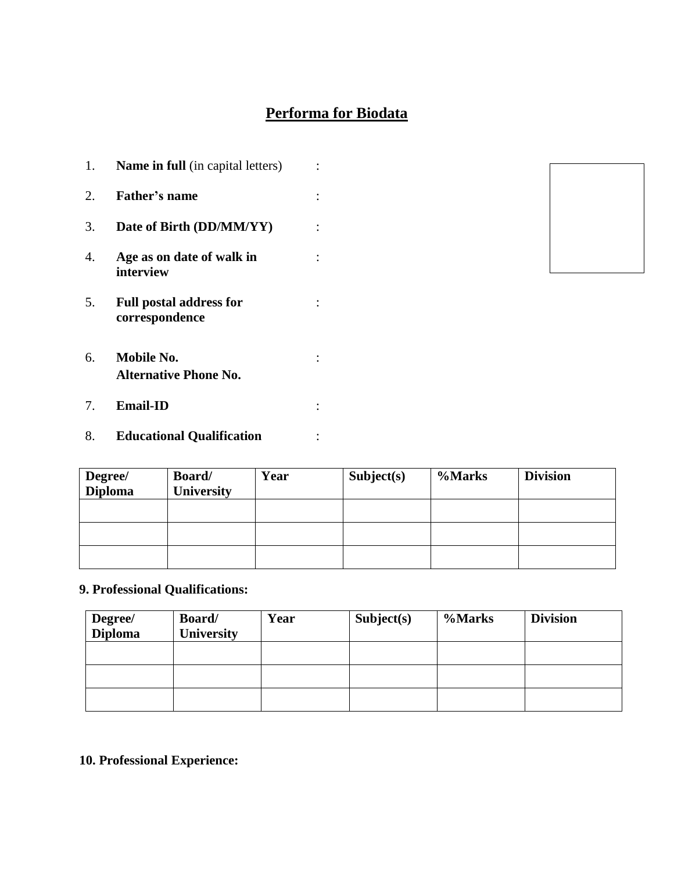# **Performa for Biodata**

| 1. | <b>Name in full</b> (in capital letters)         |  |
|----|--------------------------------------------------|--|
| 2. | Father's name                                    |  |
| 3. | Date of Birth (DD/MM/YY)                         |  |
| 4. | Age as on date of walk in<br>interview           |  |
| 5. | <b>Full postal address for</b><br>correspondence |  |
| б. | Mobile No.<br><b>Alternative Phone No.</b>       |  |
| 7. | <b>Email-ID</b>                                  |  |



8. **Educational Qualification** :

| Degree/<br><b>Diploma</b> | <b>Board</b> /<br><b>University</b> | Year | Subject(s) | %Marks | <b>Division</b> |
|---------------------------|-------------------------------------|------|------------|--------|-----------------|
|                           |                                     |      |            |        |                 |
|                           |                                     |      |            |        |                 |
|                           |                                     |      |            |        |                 |

## **9. Professional Qualifications:**

| Degree/        | <b>Board</b> /    | Year | Subject(s) | <b>%Marks</b> | <b>Division</b> |
|----------------|-------------------|------|------------|---------------|-----------------|
| <b>Diploma</b> | <b>University</b> |      |            |               |                 |
|                |                   |      |            |               |                 |
|                |                   |      |            |               |                 |
|                |                   |      |            |               |                 |
|                |                   |      |            |               |                 |
|                |                   |      |            |               |                 |
|                |                   |      |            |               |                 |

## **10. Professional Experience:**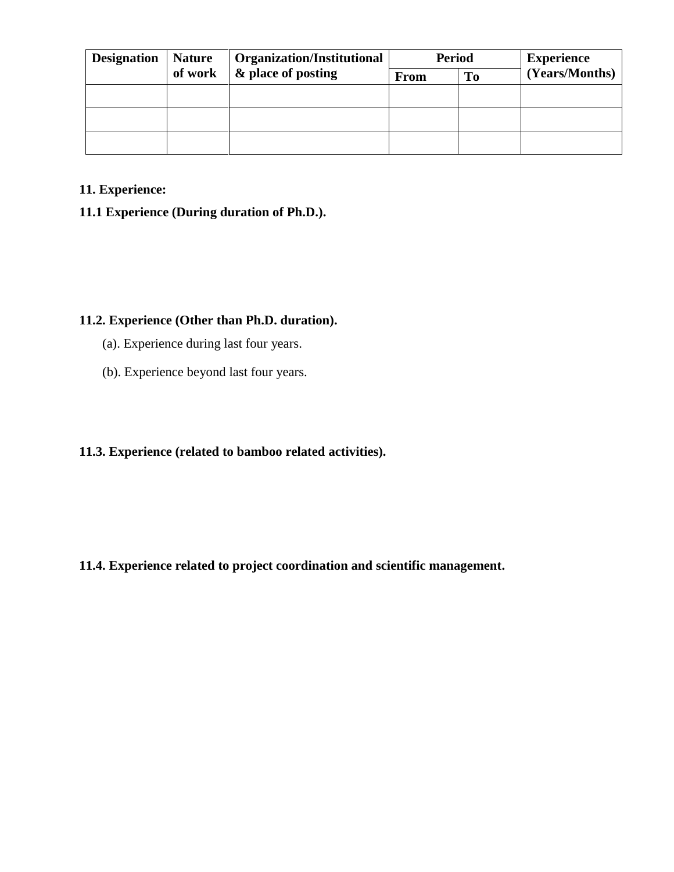| <b>Designation</b> | <b>Nature</b> | <b>Organization/Institutional</b> | <b>Period</b> |    | <b>Experience</b> |
|--------------------|---------------|-----------------------------------|---------------|----|-------------------|
|                    | of work       | & place of posting                | <b>From</b>   | To | (Years/Months)    |
|                    |               |                                   |               |    |                   |
|                    |               |                                   |               |    |                   |
|                    |               |                                   |               |    |                   |

## **11. Experience:**

#### **11.1 Experience (During duration of Ph.D.).**

#### **11.2. Experience (Other than Ph.D. duration).**

- (a). Experience during last four years.
- (b). Experience beyond last four years.

#### **11.3. Experience (related to bamboo related activities).**

## **11.4. Experience related to project coordination and scientific management.**